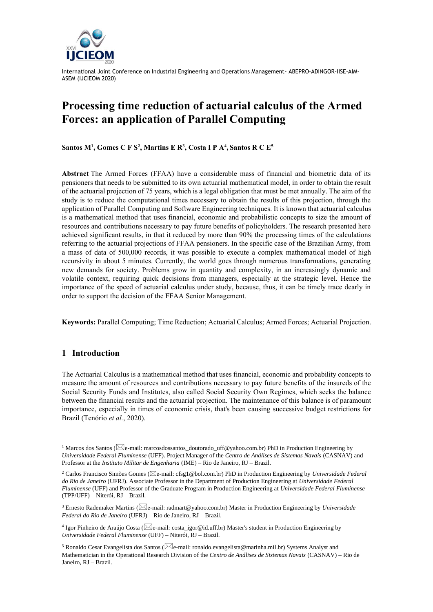

# **Processing time reduction of actuarial calculus of the Armed Forces: an application of Parallel Computing**

**Santos M<sup>1</sup> , Gomes C F S<sup>2</sup> , Martins E R<sup>3</sup> , Costa I P A<sup>4</sup> , Santos R C E 5**

**Abstract** The Armed Forces (FFAA) have a considerable mass of financial and biometric data of its pensioners that needs to be submitted to its own actuarial mathematical model, in order to obtain the result of the actuarial projection of 75 years, which is a legal obligation that must be met annually. The aim of the study is to reduce the computational times necessary to obtain the results of this projection, through the application of Parallel Computing and Software Engineering techniques. It is known that actuarial calculus is a mathematical method that uses financial, economic and probabilistic concepts to size the amount of resources and contributions necessary to pay future benefits of policyholders. The research presented here achieved significant results, in that it reduced by more than 90% the processing times of the calculations referring to the actuarial projections of FFAA pensioners. In the specific case of the Brazilian Army, from a mass of data of 500,000 records, it was possible to execute a complex mathematical model of high recursivity in about 5 minutes. Currently, the world goes through numerous transformations, generating new demands for society. Problems grow in quantity and complexity, in an increasingly dynamic and volatile context, requiring quick decisions from managers, especially at the strategic level. Hence the importance of the speed of actuarial calculus under study, because, thus, it can be timely trace dearly in order to support the decision of the FFAA Senior Management.

**Keywords:** Parallel Computing; Time Reduction; Actuarial Calculus; Armed Forces; Actuarial Projection.

## **1 Introduction**

The Actuarial Calculus is a mathematical method that uses financial, economic and probability concepts to measure the amount of resources and contributions necessary to pay future benefits of the insureds of the Social Security Funds and Institutes, also called Social Security Own Regimes, which seeks the balance between the financial results and the actuarial projection. The maintenance of this balance is of paramount importance, especially in times of economic crisis, that's been causing successive budget restrictions for Brazil (Tenório *et al.*, 2020).

<sup>&</sup>lt;sup>1</sup> Marcos dos Santos ( $\boxtimes$ e-mail: marcosdossantos\_doutorado\_uff@yahoo.com.br) PhD in Production Engineering by *Universidade Federal Fluminense* (UFF). Project Manager of the *Centro de Análises de Sistemas Navais* (CASNAV) and Professor at the *Instituto Militar de Engenharia* (IME) – Rio de Janeiro, RJ – Brazil.

<sup>&</sup>lt;sup>2</sup> Carlos Francisco Simões Gomes ( $\boxtimes$ e-mail: cfsg1@bol.com.br) PhD in Production Engineering by *Universidade Federal do Rio de Janeiro* (UFRJ). Associate Professor in the Department of Production Engineering at *Universidade Federal Fluminense* (UFF) and Professor of the Graduate Program in Production Engineering at *Universidade Federal Fluminense*  (TPP/UFF) – Niterói, RJ – Brazil.

<sup>&</sup>lt;sup>3</sup> Ernesto Rademaker Martins ( $\boxtimes$ e-mail: radmart@yahoo.com.br) Master in Production Engineering by *Universidade Federal do Rio de Janeiro* (UFRJ) – Rio de Janeiro, RJ – Brazil.

<sup>&</sup>lt;sup>4</sup> Igor Pinheiro de Araújo Costa ( $\boxtimes$ e-mail: costa\_igor@id.uff.br) Master's student in Production Engineering by *Universidade Federal Fluminense* (UFF) – Niterói, RJ – Brazil.

<sup>&</sup>lt;sup>5</sup> Ronaldo Cesar Evangelista dos Santos ( $\boxtimes$ e-mail: ronaldo.evangelista@marinha.mil.br) Systems Analyst and Mathematician in the Operational Research Division of the *Centro de Análises de Sistemas Navais* (CASNAV) – Rio de Janeiro, RJ – Brazil.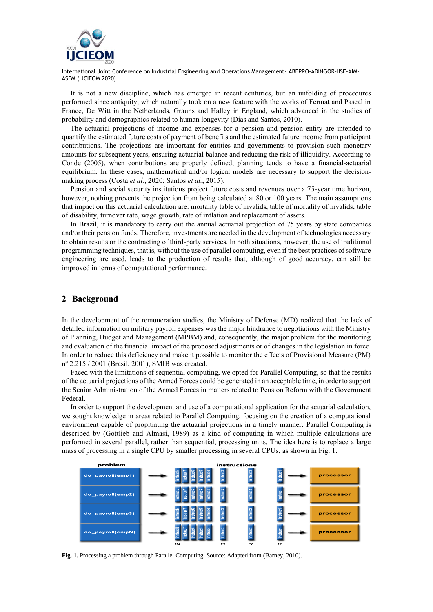

It is not a new discipline, which has emerged in recent centuries, but an unfolding of procedures performed since antiquity, which naturally took on a new feature with the works of Fermat and Pascal in France, De Witt in the Netherlands, Grauns and Halley in England, which advanced in the studies of probability and demographics related to human longevity (Dias and Santos, 2010).

The actuarial projections of income and expenses for a pension and pension entity are intended to quantify the estimated future costs of payment of benefits and the estimated future income from participant contributions. The projections are important for entities and governments to provision such monetary amounts for subsequent years, ensuring actuarial balance and reducing the risk of illiquidity. According to Conde (2005), when contributions are properly defined, planning tends to have a financial-actuarial equilibrium. In these cases, mathematical and/or logical models are necessary to support the decisionmaking process (Costa *et al.*, 2020; Santos *et al.*, 2015).

Pension and social security institutions project future costs and revenues over a 75-year time horizon, however, nothing prevents the projection from being calculated at 80 or 100 years. The main assumptions that impact on this actuarial calculation are: mortality table of invalids, table of mortality of invalids, table of disability, turnover rate, wage growth, rate of inflation and replacement of assets.

In Brazil, it is mandatory to carry out the annual actuarial projection of 75 years by state companies and/or their pension funds. Therefore, investments are needed in the development of technologies necessary to obtain results or the contracting of third-party services. In both situations, however, the use of traditional programming techniques, that is, without the use of parallel computing, even if the best practices of software engineering are used, leads to the production of results that, although of good accuracy, can still be improved in terms of computational performance.

## **2 Background**

In the development of the remuneration studies, the Ministry of Defense (MD) realized that the lack of detailed information on military payroll expenses was the major hindrance to negotiations with the Ministry of Planning, Budget and Management (MPBM) and, consequently, the major problem for the monitoring and evaluation of the financial impact of the proposed adjustments or of changes in the legislation in force. In order to reduce this deficiency and make it possible to monitor the effects of Provisional Measure (PM) nº 2.215 / 2001 (Brasil, 2001), SMIB was created.

Faced with the limitations of sequential computing, we opted for Parallel Computing, so that the results of the actuarial projections of the Armed Forces could be generated in an acceptable time, in order to support the Senior Administration of the Armed Forces in matters related to Pension Reform with the Government Federal.

In order to support the development and use of a computational application for the actuarial calculation, we sought knowledge in areas related to Parallel Computing, focusing on the creation of a computational environment capable of propitiating the actuarial projections in a timely manner. Parallel Computing is described by (Gottlieb and Almasi, 1989) as a kind of computing in which multiple calculations are performed in several parallel, rather than sequential, processing units. The idea here is to replace a large mass of processing in a single CPU by smaller processing in several CPUs, as shown in Fig. 1.



**Fig. 1.** Processing a problem through Parallel Computing. Source: Adapted from (Barney, 2010).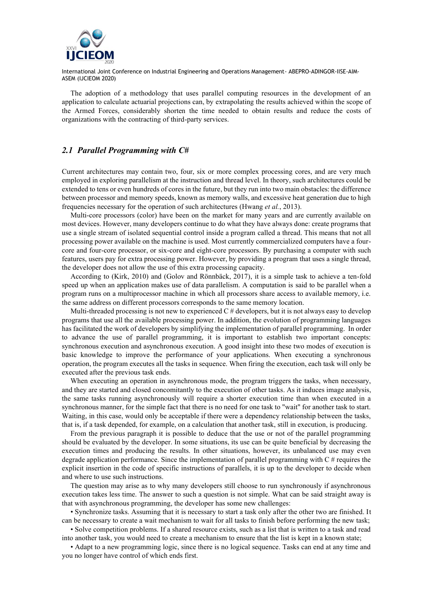

The adoption of a methodology that uses parallel computing resources in the development of an application to calculate actuarial projections can, by extrapolating the results achieved within the scope of the Armed Forces, considerably shorten the time needed to obtain results and reduce the costs of organizations with the contracting of third-party services.

## *2.1 Parallel Programming with C#*

Current architectures may contain two, four, six or more complex processing cores, and are very much employed in exploring parallelism at the instruction and thread level. In theory, such architectures could be extended to tens or even hundreds of cores in the future, but they run into two main obstacles: the difference between processor and memory speeds, known as memory walls, and excessive heat generation due to high frequencies necessary for the operation of such architectures (Hwang *et al.*, 2013).

Multi-core processors (color) have been on the market for many years and are currently available on most devices. However, many developers continue to do what they have always done: create programs that use a single stream of isolated sequential control inside a program called a thread. This means that not all processing power available on the machine is used. Most currently commercialized computers have a fourcore and four-core processor, or six-core and eight-core processors. By purchasing a computer with such features, users pay for extra processing power. However, by providing a program that uses a single thread, the developer does not allow the use of this extra processing capacity.

According to (Kirk, 2010) and (Golov and Rönnbäck, 2017), it is a simple task to achieve a ten-fold speed up when an application makes use of data parallelism. A computation is said to be parallel when a program runs on a multiprocessor machine in which all processors share access to available memory, i.e. the same address on different processors corresponds to the same memory location.

Multi-threaded processing is not new to experienced  $C \#$  developers, but it is not always easy to develop programs that use all the available processing power. In addition, the evolution of programming languages has facilitated the work of developers by simplifying the implementation of parallel programming. In order to advance the use of parallel programming, it is important to establish two important concepts: synchronous execution and asynchronous execution. A good insight into these two modes of execution is basic knowledge to improve the performance of your applications. When executing a synchronous operation, the program executes all the tasks in sequence. When firing the execution, each task will only be executed after the previous task ends.

When executing an operation in asynchronous mode, the program triggers the tasks, when necessary, and they are started and closed concomitantly to the execution of other tasks. As it induces image analysis, the same tasks running asynchronously will require a shorter execution time than when executed in a synchronous manner, for the simple fact that there is no need for one task to "wait" for another task to start. Waiting, in this case, would only be acceptable if there were a dependency relationship between the tasks, that is, if a task depended, for example, on a calculation that another task, still in execution, is producing.

From the previous paragraph it is possible to deduce that the use or not of the parallel programming should be evaluated by the developer. In some situations, its use can be quite beneficial by decreasing the execution times and producing the results. In other situations, however, its unbalanced use may even degrade application performance. Since the implementation of parallel programming with  $C \#$  requires the explicit insertion in the code of specific instructions of parallels, it is up to the developer to decide when and where to use such instructions.

The question may arise as to why many developers still choose to run synchronously if asynchronous execution takes less time. The answer to such a question is not simple. What can be said straight away is that with asynchronous programming, the developer has some new challenges:

• Synchronize tasks. Assuming that it is necessary to start a task only after the other two are finished. It can be necessary to create a wait mechanism to wait for all tasks to finish before performing the new task;

• Solve competition problems. If a shared resource exists, such as a list that is written to a task and read into another task, you would need to create a mechanism to ensure that the list is kept in a known state;

• Adapt to a new programming logic, since there is no logical sequence. Tasks can end at any time and you no longer have control of which ends first.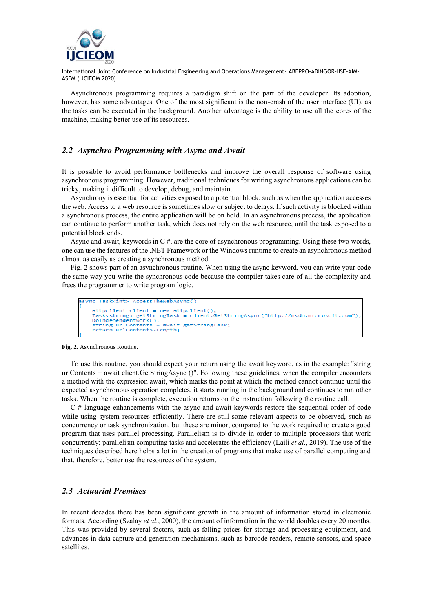

Asynchronous programming requires a paradigm shift on the part of the developer. Its adoption, however, has some advantages. One of the most significant is the non-crash of the user interface (UI), as the tasks can be executed in the background. Another advantage is the ability to use all the cores of the machine, making better use of its resources.

## *2.2 Asynchro Programming with Async and Await*

It is possible to avoid performance bottlenecks and improve the overall response of software using asynchronous programming. However, traditional techniques for writing asynchronous applications can be tricky, making it difficult to develop, debug, and maintain.

Asynchrony is essential for activities exposed to a potential block, such as when the application accesses the web. Access to a web resource is sometimes slow or subject to delays. If such activity is blocked within a synchronous process, the entire application will be on hold. In an asynchronous process, the application can continue to perform another task, which does not rely on the web resource, until the task exposed to a potential block ends.

Async and await, keywords in  $C \#$ , are the core of asynchronous programming. Using these two words, one can use the features of the .NET Framework or the Windows runtime to create an asynchronous method almost as easily as creating a synchronous method.

Fig. 2 shows part of an asynchronous routine. When using the async keyword, you can write your code the same way you write the synchronous code because the compiler takes care of all the complexity and frees the programmer to write program logic.

```
(no Taskvints AccessTheWebAsync()
HttpClient client = new HttpClient():
HttpClient client = new HttpClient();<br>Task<stringAsync("http://msdn.microsoft.com"<br>DoIndependentWork();<br>DoIndependentWork();<br>string urlContents = await getStringTask;<br>return urlContents.Length;
```
**Fig. 2.** Asynchronous Routine.

To use this routine, you should expect your return using the await keyword, as in the example: "string urlContents = await client.GetStringAsync ()". Following these guidelines, when the compiler encounters a method with the expression await, which marks the point at which the method cannot continue until the expected asynchronous operation completes, it starts running in the background and continues to run other tasks. When the routine is complete, execution returns on the instruction following the routine call.

C # language enhancements with the async and await keywords restore the sequential order of code while using system resources efficiently. There are still some relevant aspects to be observed, such as concurrency or task synchronization, but these are minor, compared to the work required to create a good program that uses parallel processing. Parallelism is to divide in order to multiple processors that work concurrently; parallelism computing tasks and accelerates the efficiency (Laili *et al.*, 2019). The use of the techniques described here helps a lot in the creation of programs that make use of parallel computing and that, therefore, better use the resources of the system.

## *2.3 Actuarial Premises*

In recent decades there has been significant growth in the amount of information stored in electronic formats. According (Szalay *et al.*, 2000), the amount of information in the world doubles every 20 months. This was provided by several factors, such as falling prices for storage and processing equipment, and advances in data capture and generation mechanisms, such as barcode readers, remote sensors, and space satellites.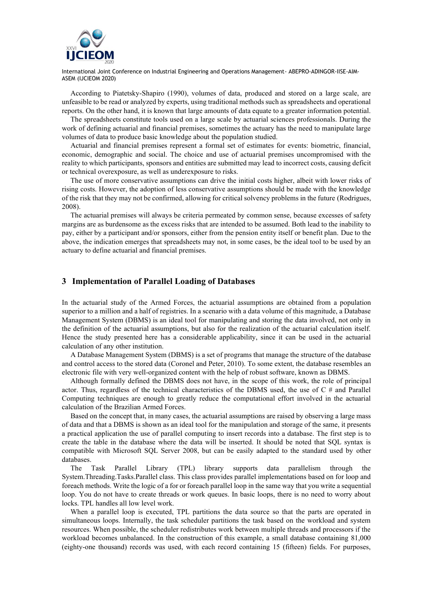

According to Piatetsky-Shapiro (1990), volumes of data, produced and stored on a large scale, are unfeasible to be read or analyzed by experts, using traditional methods such as spreadsheets and operational reports. On the other hand, it is known that large amounts of data equate to a greater information potential.

The spreadsheets constitute tools used on a large scale by actuarial sciences professionals. During the work of defining actuarial and financial premises, sometimes the actuary has the need to manipulate large volumes of data to produce basic knowledge about the population studied.

Actuarial and financial premises represent a formal set of estimates for events: biometric, financial, economic, demographic and social. The choice and use of actuarial premises uncompromised with the reality to which participants, sponsors and entities are submitted may lead to incorrect costs, causing deficit or technical overexposure, as well as underexposure to risks.

The use of more conservative assumptions can drive the initial costs higher, albeit with lower risks of rising costs. However, the adoption of less conservative assumptions should be made with the knowledge of the risk that they may not be confirmed, allowing for critical solvency problems in the future (Rodrigues, 2008).

The actuarial premises will always be criteria permeated by common sense, because excesses of safety margins are as burdensome as the excess risks that are intended to be assumed. Both lead to the inability to pay, either by a participant and/or sponsors, either from the pension entity itself or benefit plan. Due to the above, the indication emerges that spreadsheets may not, in some cases, be the ideal tool to be used by an actuary to define actuarial and financial premises.

## **3 Implementation of Parallel Loading of Databases**

In the actuarial study of the Armed Forces, the actuarial assumptions are obtained from a population superior to a million and a half of registries. In a scenario with a data volume of this magnitude, a Database Management System (DBMS) is an ideal tool for manipulating and storing the data involved, not only in the definition of the actuarial assumptions, but also for the realization of the actuarial calculation itself. Hence the study presented here has a considerable applicability, since it can be used in the actuarial calculation of any other institution.

A Database Management System (DBMS) is a set of programs that manage the structure of the database and control access to the stored data (Coronel and Peter, 2010). To some extent, the database resembles an electronic file with very well-organized content with the help of robust software, known as DBMS.

Although formally defined the DBMS does not have, in the scope of this work, the role of principal actor. Thus, regardless of the technical characteristics of the DBMS used, the use of C # and Parallel Computing techniques are enough to greatly reduce the computational effort involved in the actuarial calculation of the Brazilian Armed Forces.

Based on the concept that, in many cases, the actuarial assumptions are raised by observing a large mass of data and that a DBMS is shown as an ideal tool for the manipulation and storage of the same, it presents a practical application the use of parallel computing to insert records into a database. The first step is to create the table in the database where the data will be inserted. It should be noted that SQL syntax is compatible with Microsoft SQL Server 2008, but can be easily adapted to the standard used by other databases.

The Task Parallel Library (TPL) library supports data parallelism through the System.Threading.Tasks.Parallel class. This class provides parallel implementations based on for loop and foreach methods. Write the logic of a for or foreach parallel loop in the same way that you write a sequential loop. You do not have to create threads or work queues. In basic loops, there is no need to worry about locks. TPL handles all low level work.

When a parallel loop is executed, TPL partitions the data source so that the parts are operated in simultaneous loops. Internally, the task scheduler partitions the task based on the workload and system resources. When possible, the scheduler redistributes work between multiple threads and processors if the workload becomes unbalanced. In the construction of this example, a small database containing 81,000 (eighty-one thousand) records was used, with each record containing 15 (fifteen) fields. For purposes,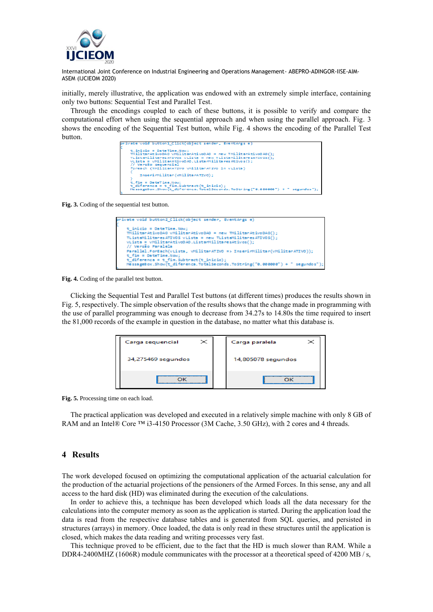

initially, merely illustrative, the application was endowed with an extremely simple interface, containing only two buttons: Sequential Test and Parallel Test.

Through the encodings coupled to each of these buttons, it is possible to verify and compare the computational effort when using the sequential approach and when using the parallel approach. Fig. 3 shows the encoding of the Sequential Test button, while Fig. 4 shows the encoding of the Parallel Test button.

|                            | wivate void button1 Click(object sender, EventArgs e)                                                                             |
|----------------------------|-----------------------------------------------------------------------------------------------------------------------------------|
| $t$ inicio = DateTime.Now: |                                                                                                                                   |
|                            | THilitarAtivoDAO vHilitarAtivoDAO = new THilitarAtivoDAO();                                                                       |
|                            | TListaMilitaresATIVOS vLista = new TListaMilitaresATIVOS();                                                                       |
|                            | $vLista = vHilttsrAtiv00A0. ListarHillitsresAtivos()$ ;                                                                           |
| // Versão sequencial       |                                                                                                                                   |
|                            | foreach (THilitarATIVO vHilitarATIVO in vLista)                                                                                   |
|                            | InserirMilitar(WHilitarATIVO);                                                                                                    |
|                            |                                                                                                                                   |
| t fim = DateTime.Now:      |                                                                                                                                   |
|                            | $t$ diference = $t$ fim. Subtract ( $t$ inicio);<br>HessageBox.Show(t diferenca.TotalSeconds.ToString("0.000000") + " segundos"); |
|                            |                                                                                                                                   |

**Fig. 3.** Coding of the sequential test button.

| private void button2 Click(object sender, EventArgs e)                        |
|-------------------------------------------------------------------------------|
| $t$ inicio = DateTime.Now:                                                    |
| THilitarAtivoDAO vMilitarAtivoDAO = new TMilitarAtivoDAO();                   |
| TListaMilitanes ATIVOS vLista = new TListaMilitanes ATIVOS();                 |
| vLista = vMilitarAtivoDAD.ListarMilitaresAtivos();                            |
| // Versão Paralela                                                            |
| Parallel.ForEach(vLista, vMilitarATIVO => InserirMilitar(vMilitarATIVO));     |
| $t$ fin = DateTime.Now;                                                       |
| t diferenca = t fim. Subtract (t inicio);                                     |
| HessageBox.Show(t diferenca.TotalSeconds.ToString("0.000000") + " segundos"); |

**Fig. 4.** Coding of the parallel test button.

Clicking the Sequential Test and Parallel Test buttons (at different times) produces the results shown in Fig. 5, respectively. The simple observation of the results shows that the change made in programming with the use of parallel programming was enough to decrease from 34.27s to 14.80s the time required to insert the 81,000 records of the example in question in the database, no matter what this database is.

| $\!imes$<br>Carga sequencial | Carga paralela     |
|------------------------------|--------------------|
| 34,275469 segundos           | 14,805078 segundos |
|                              |                    |

**Fig. 5.** Processing time on each load.

The practical application was developed and executed in a relatively simple machine with only 8 GB of RAM and an Intel® Core ™ i3-4150 Processor (3M Cache, 3.50 GHz), with 2 cores and 4 threads.

#### **4 Results**

The work developed focused on optimizing the computational application of the actuarial calculation for the production of the actuarial projections of the pensioners of the Armed Forces. In this sense, any and all access to the hard disk (HD) was eliminated during the execution of the calculations.

In order to achieve this, a technique has been developed which loads all the data necessary for the calculations into the computer memory as soon as the application is started. During the application load the data is read from the respective database tables and is generated from SQL queries, and persisted in structures (arrays) in memory. Once loaded, the data is only read in these structures until the application is closed, which makes the data reading and writing processes very fast.

This technique proved to be efficient, due to the fact that the HD is much slower than RAM. While a DDR4-2400MHZ (1606R) module communicates with the processor at a theoretical speed of 4200 MB / s,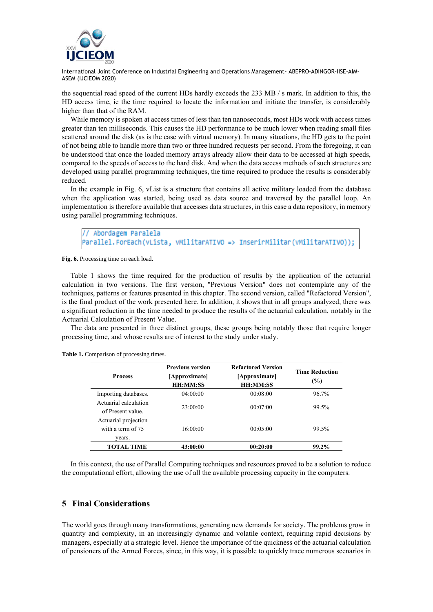

the sequential read speed of the current HDs hardly exceeds the 233 MB / s mark. In addition to this, the HD access time, ie the time required to locate the information and initiate the transfer, is considerably higher than that of the RAM.

While memory is spoken at access times of less than ten nanoseconds, most HDs work with access times greater than ten milliseconds. This causes the HD performance to be much lower when reading small files scattered around the disk (as is the case with virtual memory). In many situations, the HD gets to the point of not being able to handle more than two or three hundred requests per second. From the foregoing, it can be understood that once the loaded memory arrays already allow their data to be accessed at high speeds, compared to the speeds of access to the hard disk. And when the data access methods of such structures are developed using parallel programming techniques, the time required to produce the results is considerably reduced.

In the example in Fig. 6, vList is a structure that contains all active military loaded from the database when the application was started, being used as data source and traversed by the parallel loop. An implementation is therefore available that accesses data structures, in this case a data repository, in memory using parallel programming techniques.

Abordagem Paralela Parallel.ForEach(vLista, vMilitarATIVO => InserirMilitar(vMilitarATIVO));

**Fig. 6.** Processing time on each load.

Table 1 shows the time required for the production of results by the application of the actuarial calculation in two versions. The first version, "Previous Version" does not contemplate any of the techniques, patterns or features presented in this chapter. The second version, called "Refactored Version", is the final product of the work presented here. In addition, it shows that in all groups analyzed, there was a significant reduction in the time needed to produce the results of the actuarial calculation, notably in the Actuarial Calculation of Present Value.

The data are presented in three distinct groups, these groups being notably those that require longer processing time, and whose results are of interest to the study under study.

| <b>Process</b>                                      | <b>Previous version</b><br>[Approximate]<br><b>HH:MM:SS</b> | <b>Refactored Version</b><br>[Approximate]<br><b>HH:MM:SS</b> | <b>Time Reduction</b><br>(%) |
|-----------------------------------------------------|-------------------------------------------------------------|---------------------------------------------------------------|------------------------------|
| Importing databases.                                | 04:00:00                                                    | 00:08:00                                                      | 96.7%                        |
| Actuarial calculation<br>of Present value           | 23:00:00                                                    | 00:07:00                                                      | 99.5%                        |
| Actuarial projection<br>with a term of 75<br>vears. | 16:00:00                                                    | 00:05:00                                                      | 99.5%                        |
| TOTAL TIME                                          | 43:00:00                                                    | 00:20:00                                                      | $99.2\%$                     |

**Table 1.** Comparison of processing times.

In this context, the use of Parallel Computing techniques and resources proved to be a solution to reduce the computational effort, allowing the use of all the available processing capacity in the computers.

## **5 Final Considerations**

The world goes through many transformations, generating new demands for society. The problems grow in quantity and complexity, in an increasingly dynamic and volatile context, requiring rapid decisions by managers, especially at a strategic level. Hence the importance of the quickness of the actuarial calculation of pensioners of the Armed Forces, since, in this way, it is possible to quickly trace numerous scenarios in